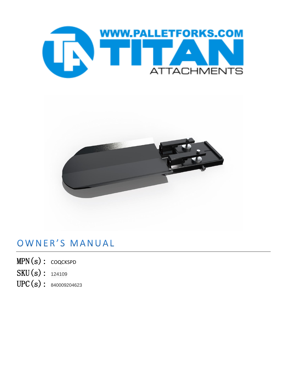



## OWNER'S MANUAL

- MPN(s): COQCKSPD
- SKU(s): 124109
- UPC(s): 840009204623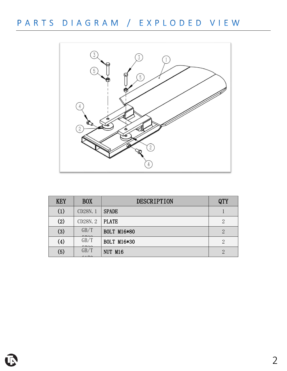PARTS DIAGRAM / EXPLODED VIEW



| <b>KEY</b> | <b>BOX</b>                                      | DESCRIPTION  | QTY |
|------------|-------------------------------------------------|--------------|-----|
| (1)        | CD28N.1                                         | <b>SPADE</b> |     |
| (2)        | CD28N.2                                         | <b>PLATE</b> | 2   |
| (3)        | GB/T<br>FFAO                                    | BOLT M16*80  | 2   |
| (4)        | GB/T<br>FFAO                                    | BOLT M16*30  | 2   |
| (5)        | GB/T<br>$\bigcap$ $\bigcap$ $\bigcap$ $\bigcap$ | NUT M16      | 9   |
|            |                                                 |              |     |